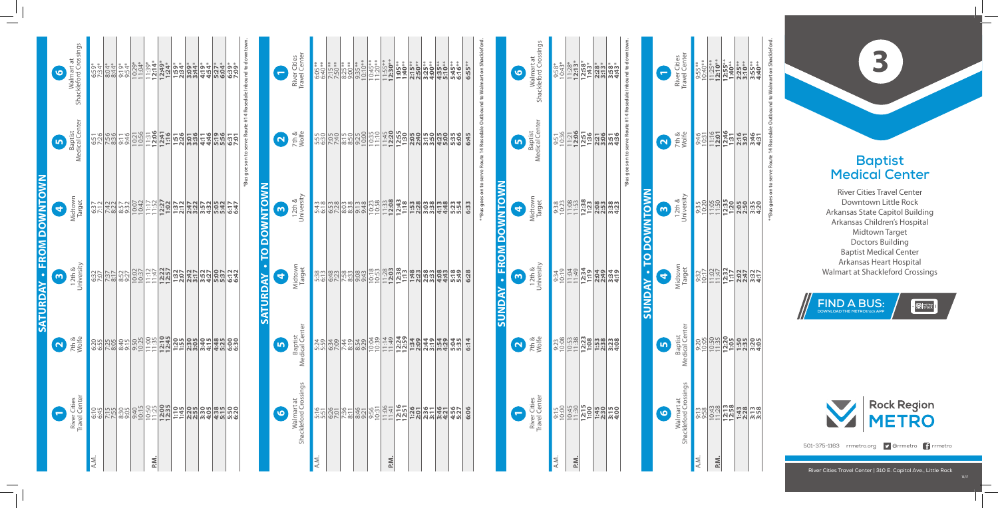## **Baptist Medical Center**

River Cities Travel Center Downtown Little Rock Arkansas State Capitol Building Arkansas Children's Hospital Midtown Target Doctors Building Baptist Medical Center Arkansas Heart Hospital<br>Walmart at Shackleford Crossings **Baptist<br>Medical Center**<br>River Cities Travel Center<br>River Cities Travel Center<br>Downtown Little Rock<br>Arkansas State Capitol Building<br>Arkansas Children's Hospital<br>Doctors Building<br>Baptist Medical Center<br>Arkansas Heart Hospit

**SUNDAY - TO DOWNTOWN SUNDAY • TO DOWNTOWN**

River Cities Travel Center | 310 E. Capitol Ave., Little Rock

Baptist<br>dical Center Medical Center

**6** <u>เก</u> **FROM DOWNTOWN SUNDAY • FROM DOWNTOWN 4** <u>ო</u> *<u>XAQNUS</u>* 

**\*Bus goes on to serve Route #14 Rosedale Inbound to downtown.** s es.

A.M. 9:15

A.M.

|                                 | 6                         | Walmart at<br>Shackleford Crossings | 6:59*                                            | $8:04*$<br>8:44*  | $9:19*$<br>$9:54*$ | 10:29*<br>11:04* | $11:39*$<br>12:14*   |       | $\frac{12:49^*}{1:24^*}$<br>$\frac{1:59^*}{2:34^*}$                                                                                                                                                                                                                                                                                                                                          | $3:09*$<br>$3:44*$ | $4:54*$      | 5:27*<br>6:04* | 6:39*<br>7:09* |  |
|---------------------------------|---------------------------|-------------------------------------|--------------------------------------------------|-------------------|--------------------|------------------|----------------------|-------|----------------------------------------------------------------------------------------------------------------------------------------------------------------------------------------------------------------------------------------------------------------------------------------------------------------------------------------------------------------------------------------------|--------------------|--------------|----------------|----------------|--|
|                                 | $\boldsymbol{\mathsf{D}}$ | Baptist<br>Medical Center           |                                                  | $\frac{1}{2}$     |                    |                  |                      |       | 10:56<br>10:58 10:06<br>10:06 1:16 1:28                                                                                                                                                                                                                                                                                                                                                      |                    |              | 5:19           | 6:31           |  |
|                                 | 0                         | Midtown<br>Target                   | <u>esis alan bahasil dari dari dari dalam da</u> |                   |                    |                  |                      |       |                                                                                                                                                                                                                                                                                                                                                                                              |                    |              | 5:05<br>5:42   | 6:47           |  |
| <b>SATURDAY - FROM DOWNTOWN</b> | $\bullet$                 | 12th &<br>University                |                                                  |                   |                    |                  |                      |       | $\frac{1}{2} \left[ \frac{1}{2} \frac{1}{2} \frac{1}{2} \frac{1}{2} \frac{1}{2} \frac{1}{2} \frac{1}{2} \frac{1}{2} \frac{1}{2} \frac{1}{2} \frac{1}{2} \frac{1}{2} \frac{1}{2} \frac{1}{2} \frac{1}{2} \frac{1}{2} \frac{1}{2} \frac{1}{2} \frac{1}{2} \frac{1}{2} \frac{1}{2} \frac{1}{2} \frac{1}{2} \frac{1}{2} \frac{1}{2} \frac{1}{2} \frac{1}{2} \frac{1}{2} \frac{1}{2} \frac{1}{2}$ | 2:42<br>3:17       | 3:52<br>4:27 | 5:37           | 6:12<br>6:42   |  |
|                                 | $\Omega$                  | 7th &<br>Wolfe                      |                                                  | $\frac{255}{255}$ |                    |                  | $\frac{9:50}{11:30}$ | 12:10 | 1:55                                                                                                                                                                                                                                                                                                                                                                                         | 2:305              | 3:40<br>4:15 | 4:48           | 6:30           |  |
|                                 | E                         | River Cities<br>Travel Center       | 6:45                                             | 7:15              | 8:305              | 9:40<br>10:15    | 10:50                | 12:00 | 1:15                                                                                                                                                                                                                                                                                                                                                                                         | 2:55               | 3:305        | 4:38<br>5:15   | 5:50<br>6:20   |  |
|                                 |                           |                                     | A.M.                                             |                   |                    |                  | P.N.                 |       |                                                                                                                                                                                                                                                                                                                                                                                              |                    |              |                |                |  |

**P.M.**

9:23 10:08 10:53 11:38 **12:23 1:08 1:53 2:38 3:23 4:08**

9:34 10:19 11:04 11:49 **12:34 1:19 2:04 2:49 3:34 4:19** 9:38 10:23 11:08 11:53 **12:38 1:23 2:08 2:53 3:38 4:23** 9:51 10:36 11:21 **12:06 12:51 1:36 2:21 3:06 3:51 4:36**

9:58\* 10:43\* 11:28\* **12:13**\* **12:58**\* **1:43**\* **2:28**\* **3:13**\* **3:58**\* **4:43**\*

River Cities Travel Center

River Cities<br>Travel Center

12th & University

<u>เก</u> **4** Target

Midtown Target

**\*\*Bus goes on to serve Route 14 Rosedale Outbound to Walmart on Shackleford.**  $\overline{5}$ d to õ Ite 14 Ro: on to s  $**Bus$ 

7th & Wolfe **2**

Walmart at Shackleford Crossings

Walmart at<br>Shackleford Crossings

00<br>10:3**0330530**<br>10:3<mark>1:00</mark><br>20:30

**1**

**\*Bus goes on to serve Route #14 Rosedale Inbound to downtown.**

| $\frac{1}{2}$ $\frac{1}{2}$ $\frac{1}{2}$ $\frac{1}{2}$ $\frac{1}{2}$ $\frac{1}{2}$ $\frac{1}{2}$ $\frac{1}{2}$ $\frac{1}{2}$ $\frac{1}{2}$ $\frac{1}{2}$ $\frac{1}{2}$ $\frac{1}{2}$ $\frac{1}{2}$ $\frac{1}{2}$ $\frac{1}{2}$ $\frac{1}{2}$ $\frac{1}{2}$ $\frac{1}{2}$ $\frac{1}{2}$ $\frac{1}{2}$ $\frac{1}{2}$<br>$\frac{1}{2}$<br>Midtown<br>Target<br>$\frac{1}{2}$ $\frac{1}{2}$ $\frac{1}{2}$ $\frac{1}{2}$ $\frac{1}{2}$ $\frac{1}{2}$ $\frac{1}{2}$ $\frac{1}{2}$ $\frac{1}{2}$ $\frac{1}{2}$ $\frac{1}{2}$ $\frac{1}{2}$ $\frac{1}{2}$ $\frac{1}{2}$ $\frac{1}{2}$ $\frac{1}{2}$ $\frac{1}{2}$ $\frac{1}{2}$ $\frac{1}{2}$ $\frac{1}{2}$ $\frac{1}{2}$ $\frac{1}{2}$ $\frac{1}{2}$ $\frac{1}{2}$<br>Baptist<br>Medical Center<br>Walmart at<br>Shackleford Crossings<br>12:13<br>10:43<br>1:43<br>2:28<br>$9:13$<br>$9:58$<br>3:58<br>A.M.<br>P.M. | $\bullet$ | $\overline{\mathbf{b}}$ | 9 |                                                                           |            | 9                                                                               |
|----------------------------------------------------------------------------------------------------------------------------------------------------------------------------------------------------------------------------------------------------------------------------------------------------------------------------------------------------------------------------------------------------------------------------------------------------------------------------------------------------------------------------------------------------------------------------------------------------------------------------------------------------------------------------------------------------------------------------------------------------------------------------------------------------------------------------------------------------------------|-----------|-------------------------|---|---------------------------------------------------------------------------|------------|---------------------------------------------------------------------------------|
|                                                                                                                                                                                                                                                                                                                                                                                                                                                                                                                                                                                                                                                                                                                                                                                                                                                                |           |                         |   | $\begin{array}{c}\n\bullet \\ \bullet \\ \bullet \\ \bullet\n\end{array}$ | 2<br>Tth & | River Cities<br>Travel Center                                                   |
|                                                                                                                                                                                                                                                                                                                                                                                                                                                                                                                                                                                                                                                                                                                                                                                                                                                                |           |                         |   |                                                                           |            |                                                                                 |
|                                                                                                                                                                                                                                                                                                                                                                                                                                                                                                                                                                                                                                                                                                                                                                                                                                                                |           |                         |   |                                                                           |            | 9:55**<br>10:40**<br>11:25**<br>12:10**<br>2:55**<br>3:55**<br>3:55**<br>4:40** |
|                                                                                                                                                                                                                                                                                                                                                                                                                                                                                                                                                                                                                                                                                                                                                                                                                                                                |           |                         |   |                                                                           |            |                                                                                 |
|                                                                                                                                                                                                                                                                                                                                                                                                                                                                                                                                                                                                                                                                                                                                                                                                                                                                |           |                         |   |                                                                           |            |                                                                                 |
|                                                                                                                                                                                                                                                                                                                                                                                                                                                                                                                                                                                                                                                                                                                                                                                                                                                                |           |                         |   |                                                                           |            |                                                                                 |

|                               | 0         | River Cities<br>Travel Center       | $6:05**$<br>$6:40**$ |              | $7:15**$<br>7:50**<br>8:25**<br>9:00** | $9:35**$<br>10:10** | $10:45**$<br>11:20** | $11:55***$<br>12:30** | $1:05***$                                                                                                                                                                                                                                                                | $2:15***$<br>$2:50***$ | $3:25***$<br>4:00** | $4:35***$<br>5:10** | 5:45**<br>6:16** | 6:55** |
|-------------------------------|-----------|-------------------------------------|----------------------|--------------|----------------------------------------|---------------------|----------------------|-----------------------|--------------------------------------------------------------------------------------------------------------------------------------------------------------------------------------------------------------------------------------------------------------------------|------------------------|---------------------|---------------------|------------------|--------|
|                               | $\Omega$  | 7th &<br>Wolfe                      | 5:55<br>6:30         |              | 532252                                 | 9:25                |                      |                       | $\begin{array}{ c c c c }\hline 10:35 & 11:10 & 11:10 & 11:10 & 11:10 & 11:10 & 11:10 & 11:10 & 11:10 & 11:10 & 11:10 & 11:10 & 11:10 & 11:10 & 11:10 & 11:10 & 11:10 & 11:10 & 11:10 & 11:10 & 11:10 & 11:10 & 11:10 & 11:10 & 11:10 & 11:10 & 11:10 & 11:10 & 11:10 &$ | 2:05                   | 3:50                | 4:25                | 5:35             | 6:45   |
|                               | $\bullet$ | 12th &<br>University                | 5:43                 | 6:53<br>7:28 | $8:38$<br>$8:38$                       | 9:13                | 10:23                | 11:33                 | $12:43$<br>$1:18$                                                                                                                                                                                                                                                        | 1:53                   | 3:38                | 4:13<br>4:48        | 5:23<br>5:54     | 6:33   |
| <b>SATURDAY - TO DOWNTOWN</b> | 0         | Midtown<br>Target                   | 5:38                 |              | $\frac{87}{728}$                       | 9:43                |                      | $\frac{10:53}{10:53}$ | $12:38$<br>$1:13$                                                                                                                                                                                                                                                        | 1:48                   | 2:58                | 4:43                | 5:49             | 6:28   |
|                               | <u>In</u> | Baptist<br>Medical Center           | 5:24                 | 6:34         | 7:44<br>8:19                           | 8:54<br>9:29        | 10:04                | 11:149                | 12:24                                                                                                                                                                                                                                                                    | 1:34                   | 2:19                | 3:54<br>4:29        | 5:35<br>5:35     | 6:14   |
|                               | $\bullet$ | Walmart at<br>Shackleford Crossings | 5:16                 | 6:26         | 7:36                                   | 8:46<br>9:21        | 9:56<br>10:31        | 11:06                 | 12:16                                                                                                                                                                                                                                                                    | 1:26                   | 2:36<br>3:11        | 3:46<br>4:21        | 4:56<br>5:27     | 6:06   |
|                               |           |                                     | A.M.                 |              |                                        |                     |                      | P.M.                  |                                                                                                                                                                                                                                                                          |                        |                     |                     |                  |        |

# **\*\*Bus goes on to serve Route 14 Rosedale Outbound to Walmart on Shackleford.**





501-375-1163 rrmetro.org **y** @rrmetro frmetro